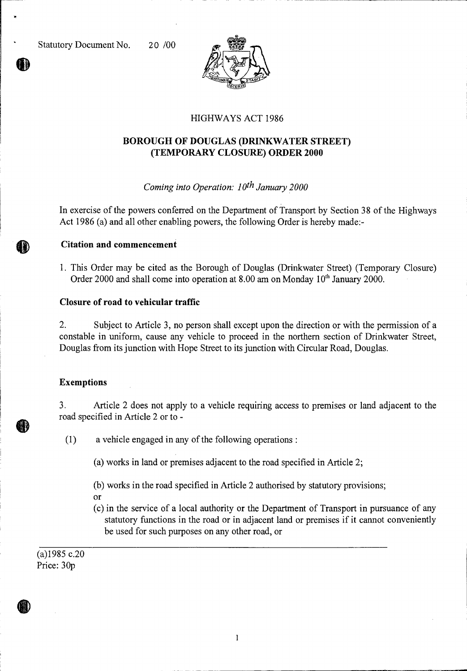Statutory Document No. 20 /00



# HIGHWAYS ACT 1986

## **BOROUGH OF DOUGLAS (DRINKWATER STREET) (TEMPORARY CLOSURE) ORDER 2000**

### *Coming into Operation: 10<sup>th</sup> January 2000*

In exercise of the powers conferred on the Department of Transport by Section 38 of the Highways Act 1986 (a) and all other enabling powers, the following Order is hereby made:-

- **Citation and commencement**
- 1. This Order may be cited as the Borough of Douglas (Drinkwater Street) (Temporary Closure) Order 2000 and shall come into operation at  $8.00$  am on Monday  $10<sup>th</sup>$  January 2000.

#### **Closure of road to vehicular traffic**

2. Subject to Article 3, no person shall except upon the direction or with the permission of a constable in uniform, cause any vehicle to proceed in the northern section of Drinkwater Street, Douglas from its junction with Hope Street to its junction with Circular Road, Douglas.

#### **Exemptions**

3. Article 2 does not apply to a vehicle requiring access to premises or land adjacent to the road specified in Article 2 or to -

(1) a vehicle engaged in any of the following operations :

(a) works in land or premises adjacent to the road specified in Article 2;

- (b) works in the road specified in Article 2 authorised by statutory provisions;
- or
- (c) in the service of a local authority or the Department of Transport in pursuance of any statutory functions in the road or in adjacent land or premises if it cannot conveniently be used for such purposes on any other road, or

(a)1985 c.20 Price: 30p